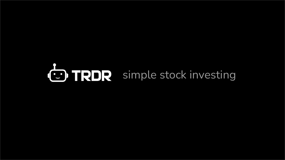# **CD TRDR** simple stock investing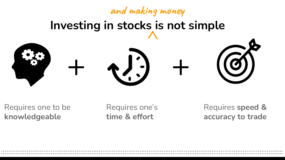## **Investing in stocks is not simple** + + **and making money**

Requires one to be **knowledgeable**

Requires one's **time & effort**

.…………………………………………………………………………………………………………………………………….. .……………………………………………………………………………………………………………………………………..

Requires **speed & accuracy to trade**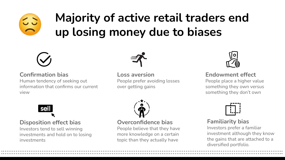### **Majority of active retail traders end up losing money due to biases**



#### **Confirmation bias**

Human tendency of seeking out information that confirms our current view



**Loss aversion** People prefer avoiding losses over getting gains



#### **Endowment effect**

People place a higher value something they own versus something they don't own



#### **Disposition effect bias**

Investors tend to sell winning investments and hold on to losing investments



#### **Overconfidence bias**

.……………………………………………………………………………………………………………………………………..

People believe that they have more knowledge on a certain topic than they actually have



#### **Familiarity bias**

Investors prefer a familiar investment although they know the gains that are attached to a diversified portfolio. .……………………………………………………………………………………………………………………………………..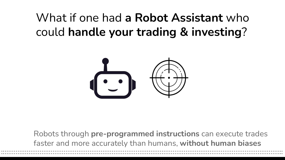### What if one had **a Robot Assistant** who could **handle your trading & investing**?



Robots through **pre-programmed instructions** can execute trades faster and more accurately than humans, **without human biases** .……………………………………………………………………………………………………………………………………..

.……………………………………………………………………………………………………………………………………..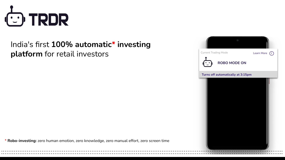

### India's first **100% automatic\* investing platform** for retail investors

\* **Robo-investing:** zero human emotion, zero knowledge, zero manual effort, zero screen time

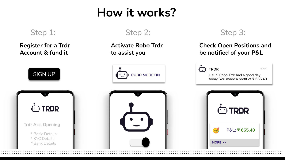### **How it works?**

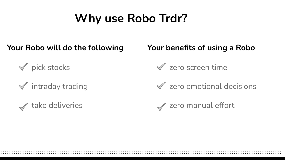### **Why use Robo Trdr?**

.…………………………………………………………………………………………………………………………………….. .……………………………………………………………………………………………………………………………………..

#### **Your Robo will do the following Your benefits of using a Robo**

 $\sqrt{}$  pick stocks

 $\mathcal I$  intraday trading





 $\mathcal X$  zero emotional decisions

**√** zero manual effort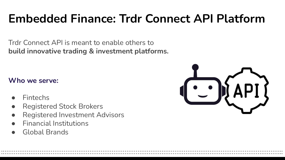### **Embedded Finance: Trdr Connect API Platform**

.…………………………………………………………………………………………………………………………………….. .……………………………………………………………………………………………………………………………………..

Trdr Connect API is meant to enable others to **build innovative trading & investment platforms.** 

#### **Who we serve:**

- **Fintechs**
- **Registered Stock Brokers**
- **Registered Investment Advisors**
- **Financial Institutions**
- Global Brands

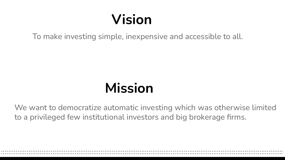### **Vision**

To make investing simple, inexpensive and accessible to all.

### **Mission**

We want to democratize automatic investing which was otherwise limited to a privileged few institutional investors and big brokerage firms.

.…………………………………………………………………………………………………………………………………….. .……………………………………………………………………………………………………………………………………..